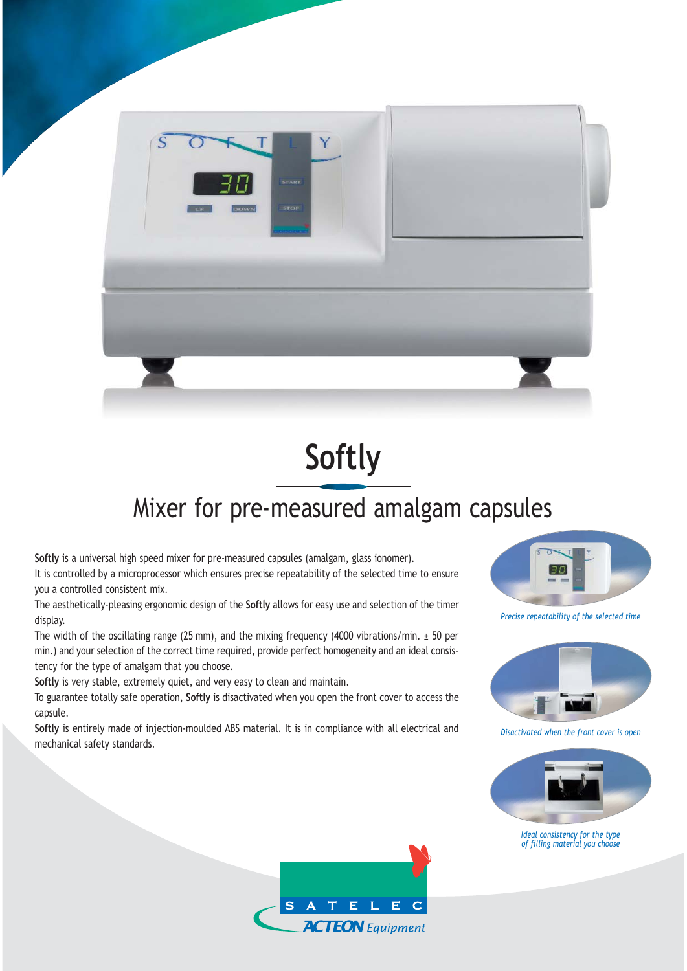

## **Softly**

## Mixer for pre-measured amalgam capsules

**Softly** is a universal high speed mixer for pre-measured capsules (amalgam, glass ionomer). It is controlled by a microprocessor which ensures precise repeatability of the selected time to ensure you a controlled consistent mix.

The aesthetically-pleasing ergonomic design of the **Softly** allows for easy use and selection of the timer display.

The width of the oscillating range (25 mm), and the mixing frequency (4000 vibrations/min.  $\pm$  50 per min.) and your selection of the correct time required, provide perfect homogeneity and an ideal consistency for the type of amalgam that you choose.

**Softly** is very stable, extremely quiet, and very easy to clean and maintain.

To guarantee totally safe operation, **Softly** is disactivated when you open the front cover to access the capsule.

**Softly** is entirely made of injection-moulded ABS material. It is in compliance with all electrical and mechanical safety standards.



*Precise repeatability of the selected time*



*Disactivated when the front cover is open*



*Ideal consistency for the type of filling material you choose*